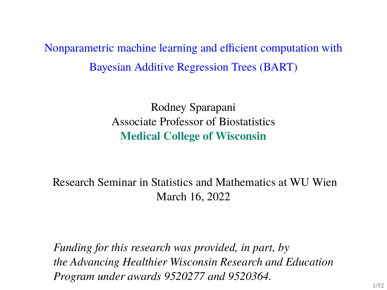Nonparametric machine learning and efficient computation with Bayesian Additive Regression Trees (BART)

> Rodney Sparapani Associate Professor of Biostatistics **Medical College of Wisconsin**

Research Seminar in Statistics and Mathematics at WU Wien March 16, 2022

*Funding for this research was provided, in part, by the Advancing Healthier Wisconsin Research and Education Program under awards 9520277 and 9520364.*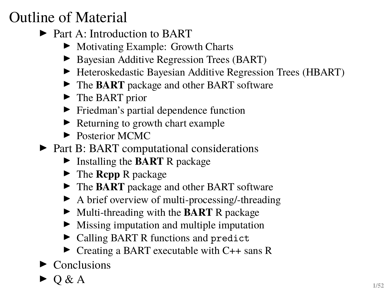# Outline of Material

- ▶ Part A: Introduction to BART
	- ▶ Motivating Example: Growth Charts
	- ▶ Bayesian Additive Regression Trees (BART)
	- ▶ Heteroskedastic Bayesian Additive Regression Trees (HBART)
	- ▶ The **BART** package and other **BART** software
	- $\blacktriangleright$  The BART prior
	- **Firms** Friedman's partial dependence function
	- $\blacktriangleright$  Returning to growth chart example
	- $\blacktriangleright$  Posterior MCMC
- $\triangleright$  Part B: BART computational considerations
	- ► Installing the **BART** R package
	- ► The **Rcpp** R package
	- ▶ The **BART** package and other BART software
	- $\blacktriangleright$  A brief overview of multi-processing/-threading
	- ▶ Multi-threading with the **BART** R package
	- $\blacktriangleright$  Missing imputation and multiple imputation
	- $\triangleright$  Calling BART R functions and predict
	- $\triangleright$  Creating a BART executable with C++ sans R
- $\blacktriangleright$  Conclusions
- $\triangleright$  O & A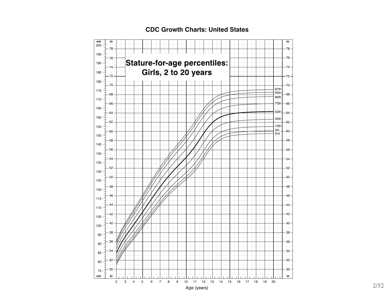

#### **CDC Growth Charts: United States**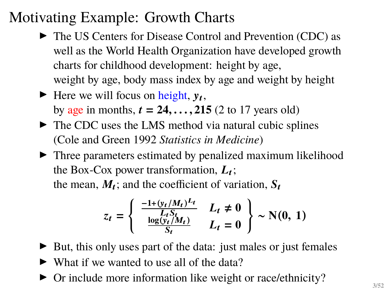## Motivating Example: Growth Charts

- $\triangleright$  The US Centers for Disease Control and Prevention (CDC) as well as the World Health Organization have developed growth charts for childhood development: height by age, weight by age, body mass index by age and weight by height
- Here we will focus on height,  $y_t$ , by age in months,  $t = 24, \ldots, 215$  (2 to 17 years old)
- $\blacktriangleright$  The CDC uses the LMS method via natural cubic splines (Cole and Green 1992 *Statistics in Medicine*)
- $\blacktriangleright$  Three parameters estimated by penalized maximum likelihood the Box-Cox power transformation,  $L_t$ ; the mean,  $M_t$ ; and the coefficient of variation,  $S_t$

$$
z_t = \begin{cases} \frac{-1 + (y_t/M_t)^{L_t}}{L_t S_t} & L_t \neq 0\\ \frac{\log(y_t/M_t)}{S_t} & L_t = 0 \end{cases} \sim N(0, 1)
$$

 $\triangleright$  But, this only uses part of the data: just males or just females

- $\triangleright$  What if we wanted to use all of the data?
- $\triangleright$  Or include more information like weight or race/ethnicity?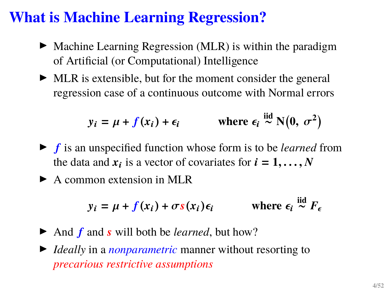## **What is Machine Learning Regression?**

- $\blacktriangleright$  Machine Learning Regression (MLR) is within the paradigm of Artificial (or Computational) Intelligence
- $\blacktriangleright$  MLR is extensible, but for the moment consider the general regression case of a continuous outcome with Normal errors

$$
y_i = \mu + f(x_i) + \epsilon_i
$$
 where  $\epsilon_i \stackrel{\text{iid}}{\sim} N(0, \sigma^2)$ 

- **If** is an unspecified function whose form is to be *learned* from the data and  $x_i$  is a vector of covariates for  $i = 1, ..., N$
- $\blacktriangleright$  A common extension in MLR

$$
y_i = \mu + f(x_i) + \sigma s(x_i) \epsilon_i
$$
 where  $\epsilon_i \stackrel{\text{iid}}{\sim} F_{\epsilon}$ 

- $\triangleright$  And  $f$  and  $s$  will both be *learned*, but how?
- ▶ *Ideally* in a *nonparametric* manner without resorting to *precarious restrictive assumptions*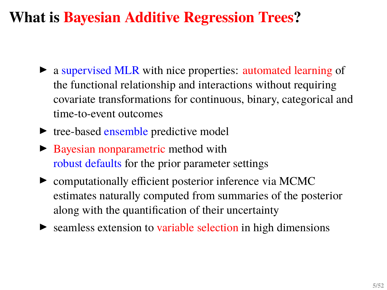# **What is Bayesian Additive Regression Trees?**

- a supervised MLR with nice properties: automated learning of the functional relationship and interactions without requiring covariate transformations for continuous, binary, categorical and time-to-event outcomes
- $\blacktriangleright$  tree-based ensemble predictive model
- $\triangleright$  Bayesian nonparametric method with robust defaults for the prior parameter settings
- $\triangleright$  computationally efficient posterior inference via MCMC estimates naturally computed from summaries of the posterior along with the quantification of their uncertainty
- $\triangleright$  seamless extension to variable selection in high dimensions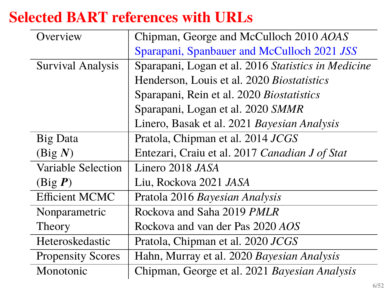# **Selected BART references with URLs**

| Overview                 | Chipman, George and McCulloch 2010 AOAS             |  |  |
|--------------------------|-----------------------------------------------------|--|--|
|                          | Sparapani, Spanbauer and McCulloch 2021 JSS         |  |  |
| <b>Survival Analysis</b> | Sparapani, Logan et al. 2016 Statistics in Medicine |  |  |
|                          | Henderson, Louis et al. 2020 Biostatistics          |  |  |
|                          | Sparapani, Rein et al. 2020 Biostatistics           |  |  |
|                          | Sparapani, Logan et al. 2020 SMMR                   |  |  |
|                          | Linero, Basak et al. 2021 Bayesian Analysis         |  |  |
| <b>Big Data</b>          | Pratola, Chipman et al. 2014 JCGS                   |  |  |
| (Big N)                  | Entezari, Craiu et al. 2017 Canadian J of Stat      |  |  |
| Variable Selection       | Linero 2018 JASA                                    |  |  |
| (Big P)                  | Liu, Rockova 2021 JASA                              |  |  |
| <b>Efficient MCMC</b>    | Pratola 2016 Bayesian Analysis                      |  |  |
| Nonparametric            | Rockova and Saha 2019 <i>PMLR</i>                   |  |  |
| Theory                   | Rockova and van der Pas 2020 AOS                    |  |  |
| Heteroskedastic          | Pratola, Chipman et al. 2020 JCGS                   |  |  |
| <b>Propensity Scores</b> | Hahn, Murray et al. 2020 Bayesian Analysis          |  |  |
| Monotonic                | Chipman, George et al. 2021 Bayesian Analysis       |  |  |
|                          |                                                     |  |  |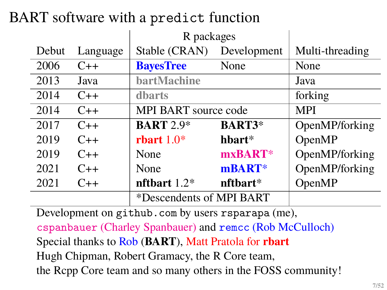# BART software with a predict function

|       |          | R packages                  |                |                 |
|-------|----------|-----------------------------|----------------|-----------------|
| Debut | Language | Stable (CRAN)               | Development    | Multi-threading |
| 2006  | $C++$    | <b>BayesTree</b>            | None           | None            |
| 2013  | Java     | bartMachine                 | Java           |                 |
| 2014  | $C++$    | dharts                      | forking        |                 |
| 2014  | $C++$    | <b>MPI BART</b> source code |                | <b>MPI</b>      |
| 2017  | $C++$    | <b>BART</b> 2.9*            | <b>BART3*</b>  | OpenMP/forking  |
| 2019  | $C++$    | rbart $1.0*$                | $h$ hart $*$   | OpenMP          |
| 2019  | $C++$    | None                        | $mxBART*$      | OpenMP/forking  |
| 2021  | $C++$    | None                        | mBART*         | OpenMP/forking  |
| 2021  | $C++$    | nfthart $1.2*$              | $n$ fthart $*$ | OpenMP          |
|       |          | *Descendents of MPI BART    |                |                 |

Development on <github.com> by users rsparapa (me),

cspanbauer (Charley Spanbauer) and remcc (Rob McCulloch) Special thanks to Rob (**BART**), Matt Pratola for **rbart** Hugh Chipman, Robert Gramacy, the R Core team, the Rcpp Core team and so many others in the FOSS community!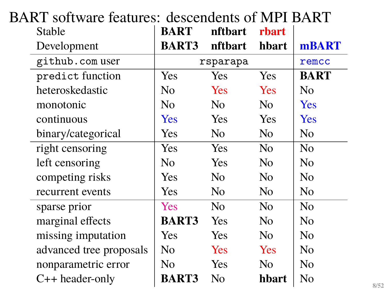| A INT-SOITMAIC ICAULOS. "ACSCONDONIS OF MITT DANNI<br>Stable | <b>BART</b>    | nftbart        | rbart          |                |
|--------------------------------------------------------------|----------------|----------------|----------------|----------------|
| Development                                                  | <b>BART3</b>   | nftbart        | hbart          | mBART          |
| github.com user                                              |                | rsparapa       |                | remcc          |
| predict function                                             | Yes.           | Yes            | <b>Yes</b>     | <b>BART</b>    |
| heteroskedastic                                              | No.            | Yes            | <b>Yes</b>     | N <sub>0</sub> |
| monotonic                                                    | No             | N <sub>0</sub> | No             | <b>Yes</b>     |
| continuous                                                   | <b>Yes</b>     | <b>Yes</b>     | Yes            | <b>Yes</b>     |
| binary/categorical                                           | Yes.           | N <sub>0</sub> | No             | No             |
| right censoring                                              | Yes            | <b>Yes</b>     | N <sub>o</sub> | N <sub>0</sub> |
| left censoring                                               | No             | <b>Yes</b>     | N <sub>o</sub> | N <sub>0</sub> |
| competing risks                                              | Yes            | N <sub>0</sub> | N <sub>o</sub> | No             |
| recurrent events                                             | Yes            | No             | N <sub>o</sub> | No             |
| sparse prior                                                 | <b>Yes</b>     | N <sub>0</sub> | N <sub>0</sub> | N <sub>0</sub> |
| marginal effects                                             | <b>BART3</b>   | <b>Yes</b>     | No             | N <sub>0</sub> |
| missing imputation                                           | Yes            | Yes            | N <sub>0</sub> | N <sub>0</sub> |
| advanced tree proposals                                      | N <sub>0</sub> | <b>Yes</b>     | <b>Yes</b>     | No             |
| nonparametric error                                          | No             | Yes            | N <sub>0</sub> | No             |
| $C++$ header-only                                            | <b>BART3</b>   | No             | hbart          | No             |

# BART software features: descendents of MPI BART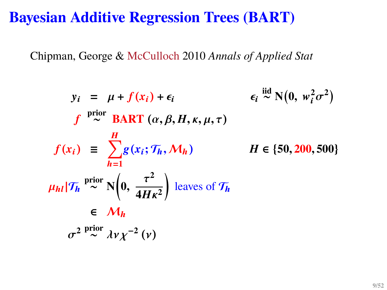#### **Bayesian Additive Regression Trees (BART)**

Chipman, George & McCulloch 2010 *Annals of Applied Stat*

$$
y_i = \mu + f(x_i) + \epsilon_i \qquad \epsilon_i \stackrel{\text{iid}}{\sim} N(0, w_i^2 \sigma^2)
$$
  
\n
$$
f \stackrel{\text{prior}}{\sim} \text{BART} (\alpha, \beta, H, \kappa, \mu, \tau)
$$
  
\n
$$
f(x_i) \equiv \sum_{h=1}^{H} g(x_i; \mathcal{T}_h, \mathcal{M}_h) \qquad H \in \{50, 200, 500\}
$$
  
\n
$$
\mu_{hl} |\mathcal{T}_h \stackrel{\text{prior}}{\sim} N(0, \frac{\tau^2}{4H\kappa^2}) \text{ leaves of } \mathcal{T}_h
$$
  
\n
$$
\epsilon \mathcal{M}_h
$$
  
\n
$$
\sigma^2 \stackrel{\text{prior}}{\sim} \lambda v \chi^{-2} (v)
$$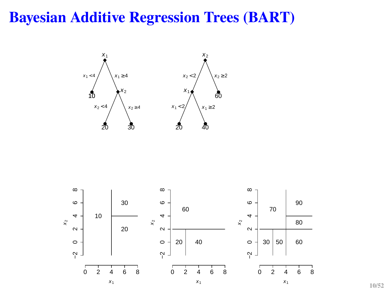#### **Bayesian Additive Regression Trees (BART)**





**10/52**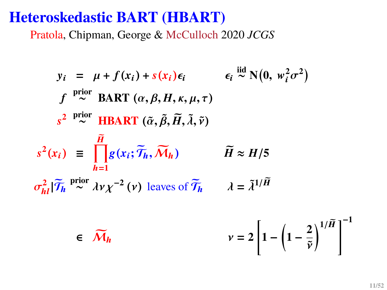#### **Heteroskedastic BART (HBART)**

Pratola, Chipman, George & McCulloch 2020 *JCGS*

$$
y_i = \mu + f(x_i) + s(x_i)\epsilon_i \qquad \epsilon_i \stackrel{\text{iid}}{\sim} N(0, w_i^2 \sigma^2)
$$
  
\n
$$
f \stackrel{\text{prior}}{\sim} \text{BART}(\alpha, \beta, H, \kappa, \mu, \tau)
$$
  
\n
$$
s^2 \stackrel{\text{prior}}{\sim} \text{HBART}(\tilde{\alpha}, \tilde{\beta}, \tilde{H}, \tilde{\lambda}, \tilde{\nu})
$$
  
\n
$$
s^2(x_i) \equiv \prod_{h=1}^{\tilde{H}} g(x_i; \tilde{\mathcal{T}}_h, \tilde{\mathcal{M}}_h) \qquad \tilde{H} \approx H/5
$$
  
\n
$$
\sigma_{hl}^2 |\tilde{\mathcal{T}}_h \stackrel{\text{prior}}{\sim} \lambda v \chi^{-2} (v) \text{ leaves of } \tilde{\mathcal{T}}_h \qquad \lambda = \tilde{\lambda}^{1/\tilde{H}}
$$
  
\n
$$
\epsilon \quad \tilde{\mathcal{M}}_h \qquad \qquad v = 2 \left[ 1 - \left( 1 - \frac{2}{\tilde{v}} \right)^{1/\tilde{H}} \right]^{-1}
$$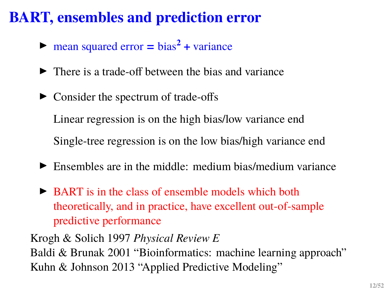# **BART, ensembles and prediction error**

- $\triangleright$  mean squared error = bias<sup>2</sup> + variance
- $\blacktriangleright$  There is a trade-off between the bias and variance
- $\triangleright$  Consider the spectrum of trade-offs

Linear regression is on the high bias/low variance end

Single-tree regression is on the low bias/high variance end

- $\blacktriangleright$  Ensembles are in the middle: medium bias/medium variance
- $\triangleright$  BART is in the class of ensemble models which both theoretically, and in practice, have excellent out-of-sample predictive performance

Krogh & Solich 1997 *Physical Review E* Baldi & Brunak 2001 "Bioinformatics: machine learning approach" Kuhn & Johnson 2013 "Applied Predictive Modeling"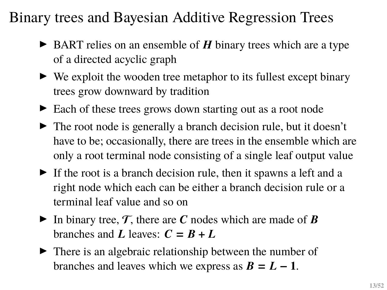#### Binary trees and Bayesian Additive Regression Trees

- $\triangleright$  BART relies on an ensemble of  $H$  binary trees which are a type of a directed acyclic graph
- $\triangleright$  We exploit the wooden tree metaphor to its fullest except binary trees grow downward by tradition
- ► Each of these trees grows down starting out as a root node
- $\blacktriangleright$  The root node is generally a branch decision rule, but it doesn't have to be; occasionally, there are trees in the ensemble which are only a root terminal node consisting of a single leaf output value
- $\triangleright$  If the root is a branch decision rule, then it spawns a left and a right node which each can be either a branch decision rule or a terminal leaf value and so on
- In binary tree,  $\mathcal{T}$ , there are C nodes which are made of B branches and L leaves:  $C = B + L$
- $\blacktriangleright$  There is an algebraic relationship between the number of branches and leaves which we express as  $B = L - 1$ .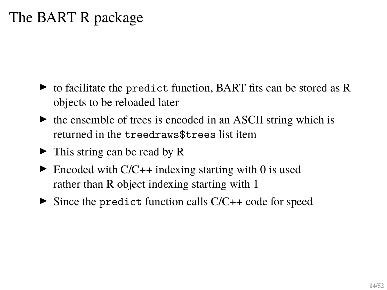# The BART R package

- $\triangleright$  to facilitate the predict function, BART fits can be stored as R objects to be reloaded later
- $\blacktriangleright$  the ensemble of trees is encoded in an ASCII string which is returned in the treedraws\$trees list item
- $\blacktriangleright$  This string can be read by R
- $\blacktriangleright$  Encoded with C/C++ indexing starting with 0 is used rather than R object indexing starting with 1
- $\triangleright$  Since the predict function calls  $C/C++$  code for speed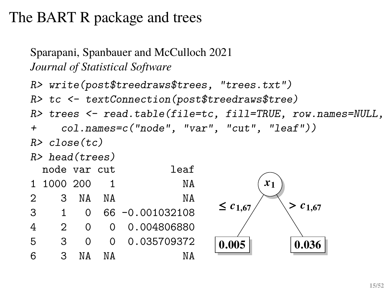```
Sparapani, Spanbauer and McCulloch 2021
Journal of Statistical Software
```

```
R> write(post$treedraws$trees, "trees.txt")
R> tc <- textConnection(post$treedraws$tree)
R> trees \le read.table(file=tc, fill=TRUE, row.names=NULL,
+ col.names=c("node", "var", "cut", "leaf"))
R> close(tc)
R> head(trees)
 node var cut leaf
1 1000 200 1 NA
2 3 NA NA NA
3 1 0 66 -0.001032108
4 2 0 0 0.004806880
5 3 0 0 0.035709372
6 3 NA NA NA
                                 x_10.005
                           \leq c_{1,67}0.036
                                     > c_{1.67}
```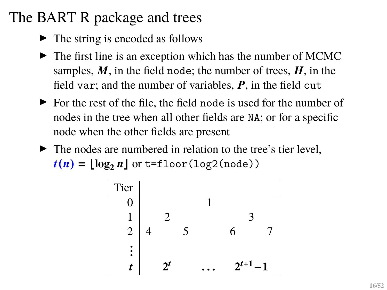- $\blacktriangleright$  The string is encoded as follows
- $\blacktriangleright$  The first line is an exception which has the number of MCMC samples,  $M$ , in the field node; the number of trees,  $H$ , in the field var; and the number of variables,  $P$ , in the field cut
- $\triangleright$  For the rest of the file, the field node is used for the number of nodes in the tree when all other fields are NA; or for a specific node when the other fields are present
- $\blacktriangleright$  The nodes are numbered in relation to the tree's tier level.  $t(n) = \lfloor \log_2 n \rfloor$  or t=floor(log2(node))

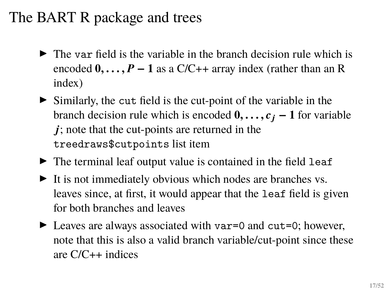- $\triangleright$  The var field is the variable in the branch decision rule which is encoded  $0, \ldots, P-1$  as a C/C++ array index (rather than an R index)
- $\triangleright$  Similarly, the cut field is the cut-point of the variable in the branch decision rule which is encoded  $0, \ldots, c_j - 1$  for variable  $j$ ; note that the cut-points are returned in the treedraws\$cutpoints list item
- $\blacktriangleright$  The terminal leaf output value is contained in the field leaf
- $\blacktriangleright$  It is not immediately obvious which nodes are branches vs. leaves since, at first, it would appear that the leaf field is given for both branches and leaves
- $\blacktriangleright$  Leaves are always associated with var=0 and cut=0; however, note that this is also a valid branch variable/cut-point since these are C/C++ indices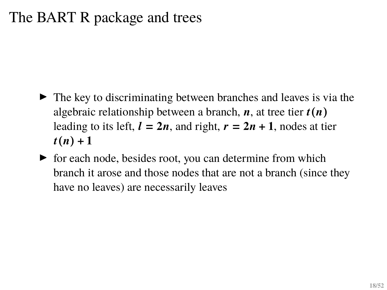- $\blacktriangleright$  The key to discriminating between branches and leaves is via the algebraic relationship between a branch,  $\boldsymbol{n}$ , at tree tier  $\boldsymbol{t}(\boldsymbol{n})$ leading to its left,  $l = 2n$ , and right,  $r = 2n + 1$ , nodes at tier  $t(n) + 1$
- $\triangleright$  for each node, besides root, you can determine from which branch it arose and those nodes that are not a branch (since they have no leaves) are necessarily leaves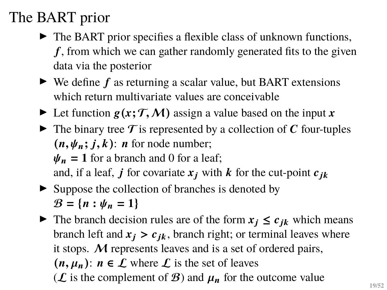- $\blacktriangleright$  The BART prior specifies a flexible class of unknown functions,  $f$ , from which we can gather randomly generated fits to the given data via the posterior
- $\triangleright$  We define f as returning a scalar value, but BART extensions which return multivariate values are conceivable
- In Let function  $g(x; \mathcal{T}, \mathcal{M})$  assign a value based on the input x
- $\triangleright$  The binary tree T is represented by a collection of C four-tuples  $(n, \psi_n; j, k)$ : *n* for node number;  $\Psi_n = 1$  for a branch and 0 for a leaf; and, if a leaf, j for covariate  $x_j$  with k for the cut-point  $c_{ik}$
- $\triangleright$  Suppose the collection of branches is denoted by  $B = \{n : \psi_n = 1\}$
- In The branch decision rules are of the form  $x_i \leq c_{ik}$  which means branch left and  $x_i > c_{ik}$ , branch right; or terminal leaves where it stops. M represents leaves and is a set of ordered pairs,  $(n, \mu_n): n \in \mathcal{L}$  where  $\mathcal{L}$  is the set of leaves  $(\mathcal{L})$  is the complement of  $\mathcal{B}$ ) and  $\mu_n$  for the outcome value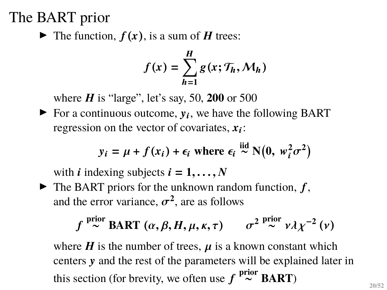$\blacktriangleright$  The function,  $f(x)$ , is a sum of  $H$  trees:

$$
f(x) = \sum_{h=1}^{H} g(x; \mathcal{T}_h, \mathcal{M}_h)
$$

where  $H$  is "large", let's say, 50, 200 or 500

 $\blacktriangleright$  For a continuous outcome,  $y_i$ , we have the following BART regression on the vector of covariates,  $x_i$ :

$$
y_i = \mu + f(x_i) + \epsilon_i
$$
 where  $\epsilon_i \stackrel{iid}{\sim} N(0, w_i^2 \sigma^2)$ 

with *i* indexing subjects  $i = 1, \ldots, N$ 

 $\blacktriangleright$  The BART priors for the unknown random function,  $f$ , and the error variance,  $\sigma^2$ , are as follows

$$
f \stackrel{\text{prior}}{\sim} \text{BART } (\alpha, \beta, H, \mu, \kappa, \tau) \qquad \sigma^2 \stackrel{\text{prior}}{\sim} \nu \lambda \chi^{-2} (\nu)
$$

where  $H$  is the number of trees,  $\mu$  is a known constant which centers y and the rest of the parameters will be explained later in this section (for brevity, we often use  $f \stackrel{\text{prior}}{\thicksim} \text{BART}$ )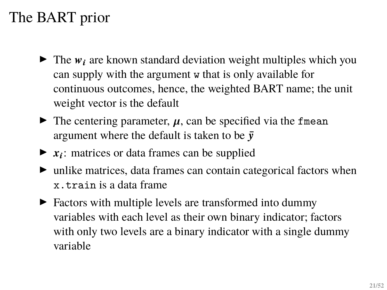- $\blacktriangleright$  The  $w_i$  are known standard deviation weight multiples which you can supply with the argument w that is only available for continuous outcomes, hence, the weighted BART name; the unit weight vector is the default
- $\triangleright$  The centering parameter,  $\mu$ , can be specified via the fmean argument where the default is taken to be  $\bar{v}$
- $\blacktriangleright$   $x_i$ : matrices or data frames can be supplied
- $\blacktriangleright$  unlike matrices, data frames can contain categorical factors when x.train is a data frame
- $\blacktriangleright$  Factors with multiple levels are transformed into dummy variables with each level as their own binary indicator; factors with only two levels are a binary indicator with a single dummy variable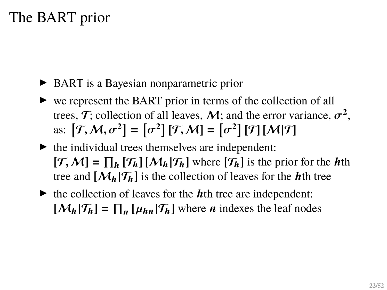- ▶ BART is a Bayesian nonparametric prior
- $\triangleright$  we represent the BART prior in terms of the collection of all trees,  $\mathcal{T}$ ; collection of all leaves,  $\mathcal{M}$ ; and the error variance,  $\sigma^2$ , as:  $[\mathcal{T}, \mathcal{M}, \sigma^2] = [\sigma^2] [\mathcal{T}, \mathcal{M}] = [\sigma^2] [\mathcal{T}] [\mathcal{M} | \mathcal{T}]$
- $\blacktriangleright$  the individual trees themselves are independent:  $[\mathcal{T}, \mathcal{M}] = \prod_h [\mathcal{T}_h] [\mathcal{M}_h | \mathcal{T}_h]$  where  $[\mathcal{T}_h]$  is the prior for the *h*th tree and  $[M_h|\mathcal{T}_h]$  is the collection of leaves for the *h*<sup>th</sup> tree
- $\blacktriangleright$  the collection of leaves for the *h*<sup>th</sup> tree are independent:  $[\mathcal{M}_h | \mathcal{T}_h] = \prod_n [\mu_{hn} | \mathcal{T}_h]$  where *n* indexes the leaf nodes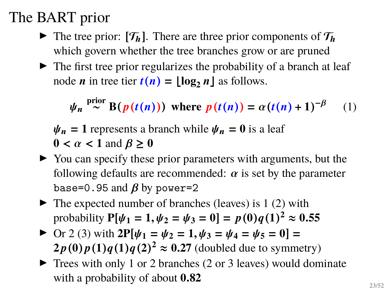- $\triangleright$  The tree prior:  $[T_h]$ . There are three prior components of  $T_h$ which govern whether the tree branches grow or are pruned
- $\blacktriangleright$  The first tree prior regularizes the probability of a branch at leaf node *n* in tree tier  $t(n) = |\log_2 n|$  as follows.

 $\psi_n \stackrel{\text{prior}}{\sim} \text{B}(p(t(n)))$  where  $p(t(n)) = \alpha(t(n) + 1)^{-\beta}$ (1)

 $\Psi_n = 1$  represents a branch while  $\Psi_n = 0$  is a leaf  $0 < \alpha < 1$  and  $\beta \geq 0$ 

- $\triangleright$  You can specify these prior parameters with arguments, but the following defaults are recommended:  $\alpha$  is set by the parameter base=0.95 and  $\beta$  by power=2
- $\blacktriangleright$  The expected number of branches (leaves) is 1 (2) with  $\text{probability } P[\psi_1 = 1, \psi_2 = \psi_3 = 0] = p(0)q(1)^2 \approx 0.55$
- ▶ Or 2 (3) with  $2P[\psi_1 = \psi_2 = 1, \psi_3 = \psi_4 = \psi_5 = 0] =$  $2p(0)p(1)q(1)q(2)^2 \approx 0.27$  (doubled due to symmetry)
- $\blacktriangleright$  Trees with only 1 or 2 branches (2 or 3 leaves) would dominate with a probability of about **0**.**82**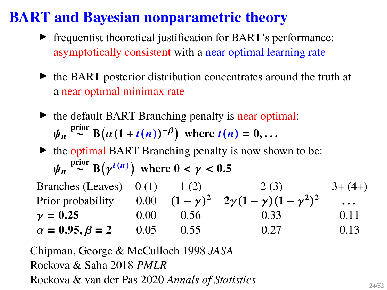#### **BART and Bayesian nonparametric theory**

- $\blacktriangleright$  frequentist theoretical justification for BART's performance: asymptotically consistent with a near optimal learning rate
- $\triangleright$  the BART posterior distribution concentrates around the truth at a near optimal minimax rate
- $\triangleright$  the default BART Branching penalty is near optimal:  $\psi_n \stackrel{\text{prior}}{\sim} \text{B}\big(\alpha(1+t(n))^{-\beta}\big)$  where  $t(n) = 0, \ldots$

 $\triangleright$  the optimal BART Branching penalty is now shown to be:  $\psi_n \stackrel{\text{prior}}{\sim} \text{B}\big(\gamma^{t(n)}\big)$  where  $0 < \gamma < 0.5$ 

Branches (Leaves)  $0(1)$  1 (2) 2 (3) 3+ (4+) Prior probability  $0.00 \quad (1 - \gamma)^2 \quad 2\gamma (1 - \gamma)(1 - \gamma^2)^2$  $\ddotsc$  $\gamma = 0.25$  0.00 0.56 0.33 0.11  $\alpha = 0.95, \beta = 2$  0.05 0.55 0.27 0.13

Chipman, George & McCulloch 1998 *JASA* Rockova & Saha 2018 *PMLR* Rockova & van der Pas 2020 *Annals of Statistics*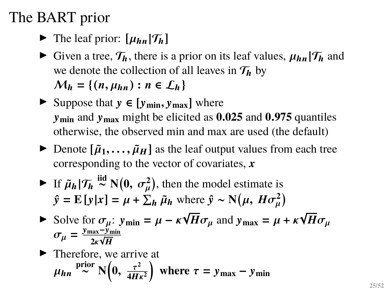- $\blacktriangleright$  The leaf prior:  $[\mu_{hn}|\mathcal{T}_h]$
- $\blacktriangleright$  Given a tree,  $\mathcal{T}_h$ , there is a prior on its leaf values,  $\mu_{hn}|\mathcal{T}_h$  and we denote the collection of all leaves in  $\mathcal{T}_h$  by  $M_h = \{(n, \mu_{hn}) : n \in L_h\}$
- **►** Suppose that  $y \in [y_{\text{min}}, y_{\text{max}}]$  where  $v_{\text{min}}$  and  $v_{\text{max}}$  might be elicited as  $0.025$  and  $0.975$  quantiles otherwise, the observed min and max are used (the default)
- $\triangleright$  Denote  $[\tilde{\mu}_1, \ldots, \tilde{\mu}_H]$  as the leaf output values from each tree corresponding to the vector of covariates,  $\boldsymbol{x}$
- Figure If  $\tilde{\mu}_h | \mathcal{T}_h \stackrel{\text{iid}}{\sim} N(0, \sigma^2_\mu)$ , then the model estimate is  $\hat{y} = \mathbf{E}[y|x] = \mu + \sum_h \tilde{\mu}_h$  where  $\hat{y} \sim \mathbf{N}(\mu, H\sigma_\mu^2)$
- Solve for  $\sigma_{\mu}$ :  $y_{\text{min}} = \mu \kappa \sqrt{\frac{\mu}{\sigma^2}}$  $H\sigma_{\mu}$  and  $y_{\text{max}} = \mu + \kappa$ √  $H\sigma_\mu$  $\sigma_{\mu} = \frac{y_{\text{max}} - y_{\text{min}}}{2 \pi \sqrt{\mu}}$ <u>1ax−y r</u><br>2κ√**H**

 $\blacktriangleright$  Therefore, we arrive at  $\mu_{hn}$ <sup>prior</sup> N $\left(0, \frac{\tau^2}{4H}\right)$  $4H\kappa^2$ where  $\tau = y_{\text{max}} - y_{\text{min}}$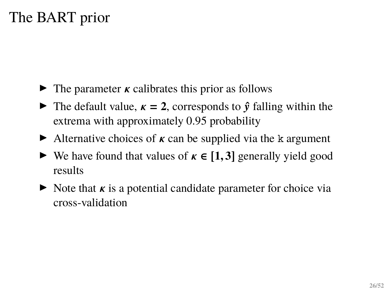- $\triangleright$  The parameter  $\kappa$  calibrates this prior as follows
- **If** The default value,  $\kappa = 2$ , corresponds to  $\hat{v}$  falling within the extrema with approximately 0.95 probability
- $\triangleright$  Alternative choices of  $\kappa$  can be supplied via the k argument
- $\triangleright$  We have found that values of  $\kappa \in [1, 3]$  generally yield good results
- $\triangleright$  Note that  $\kappa$  is a potential candidate parameter for choice via cross-validation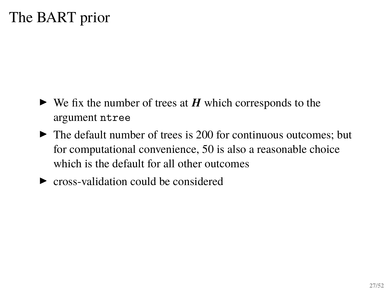- $\triangleright$  We fix the number of trees at  $H$  which corresponds to the argument ntree
- $\blacktriangleright$  The default number of trees is 200 for continuous outcomes; but for computational convenience, 50 is also a reasonable choice which is the default for all other outcomes
- $\triangleright$  cross-validation could be considered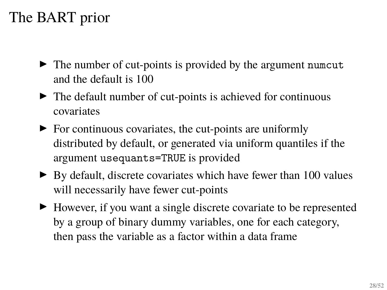- $\blacktriangleright$  The number of cut-points is provided by the argument numcut and the default is 100
- $\blacktriangleright$  The default number of cut-points is achieved for continuous covariates
- $\triangleright$  For continuous covariates, the cut-points are uniformly distributed by default, or generated via uniform quantiles if the argument usequants=TRUE is provided
- $\triangleright$  By default, discrete covariates which have fewer than 100 values will necessarily have fewer cut-points
- $\blacktriangleright$  However, if you want a single discrete covariate to be represented by a group of binary dummy variables, one for each category, then pass the variable as a factor within a data frame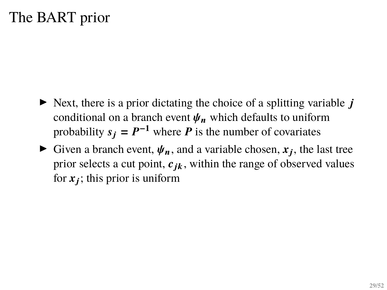- $\triangleright$  Next, there is a prior dictating the choice of a splitting variable *i* conditional on a branch event  $\psi_n$  which defaults to uniform probability  $s_j = P^{-1}$  where P is the number of covariates
- Given a branch event,  $\psi_n$ , and a variable chosen,  $x_j$ , the last tree prior selects a cut point,  $c_{ik}$ , within the range of observed values for  $x_j$ ; this prior is uniform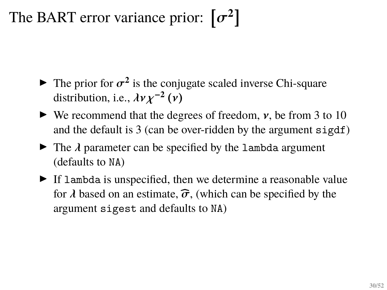# The BART error variance prior:  $[\sigma^2]$

- $\blacktriangleright$  The prior for  $\sigma^2$  is the conjugate scaled inverse Chi-square distribution, i.e.,  $\lambda v \chi^{-2}(v)$
- $\blacktriangleright$  We recommend that the degrees of freedom,  $\nu$ , be from 3 to 10 and the default is 3 (can be over-ridden by the argument sigdf)
- $\triangleright$  The  $\lambda$  parameter can be specified by the lambda argument (defaults to NA)
- $\blacktriangleright$  If lambda is unspecified, then we determine a reasonable value for  $\lambda$  based on an estimate,  $\hat{\sigma}$ , (which can be specified by the argument sigest and defaults to NA)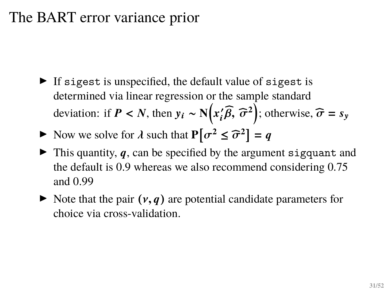#### The BART error variance prior

- $\triangleright$  If sigest is unspecified, the default value of sigest is determined via linear regression or the sample standard deviation: if  $P < N$ , then  $y_i \sim N(x_i)$  $\mathbf{z}'_i \widehat{\beta}$ ,  $\widehat{\sigma}^2$ ); otherwise,  $\widehat{\sigma} = s_y$
- Now we solve for  $\lambda$  such that  $P[\sigma^2 \leq \widehat{\sigma}^2] = q$
- $\blacktriangleright$  This quantity, q, can be specified by the argument sigquant and the default is 0.9 whereas we also recommend considering 0.75 and 0.99
- $\triangleright$  Note that the pair  $(v, q)$  are potential candidate parameters for choice via cross-validation.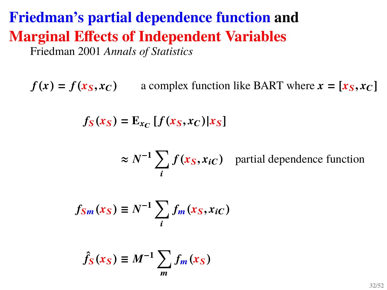# **Friedman's partial dependence function and Marginal Effects of Independent Variables**

Friedman 2001 *Annals of Statistics*

 $f(x) = f(x_S, x_C)$  a complex function like BART where  $x = [x_S, x_C]$ 

 $f_S(x_S) = \mathbb{E}_{x_C} [f(x_S, x_C) | x_S]$ 

 $\approx N^{-1}\sum$ i  $f(x_S, x_{iC})$  partial dependence function

$$
f_{Sm}(x_S) \equiv N^{-1} \sum_i f_m(x_S, x_{iC})
$$

$$
\hat{f}_S(x_S) \equiv M^{-1} \sum_m f_m(x_S)
$$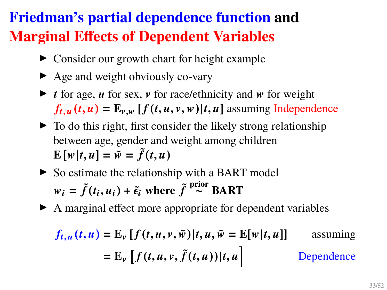# **Friedman's partial dependence function and Marginal Effects of Dependent Variables**

- $\triangleright$  Consider our growth chart for height example
- $\blacktriangleright$  Age and weight obviously co-vary
- $\triangleright$  *t* for age, *u* for sex, *v* for race/ethnicity and *w* for weight  $f_{t,u}(t, u) = E_{v,w} [f(t, u, v, w)|t, u]$  assuming Independence
- $\blacktriangleright$  To do this right, first consider the likely strong relationship between age, gender and weight among children  $\mathbf{E}[\mathbf{w}|t, u] = \tilde{\mathbf{w}} = \tilde{f}(t, u)$
- $\triangleright$  So estimate the relationship with a BART model  $w_i = \tilde{f}(t_i, u_i) + \tilde{\epsilon}_i$  where  $\tilde{f}^{\text{prior}} \ge \text{BART}$
- $\blacktriangleright$  A marginal effect more appropriate for dependent variables

$$
f_{t,u}(t,u) = \mathbb{E}_{\nu} \left[ f(t,u,v,\tilde{w}) | t, u, \tilde{w} = \mathbb{E}[w|t,u] \right] \qquad \text{assuming}
$$
\n
$$
= \mathbb{E}_{\nu} \left[ f(t,u,v,\tilde{f}(t,u)) | t, u \right] \qquad \text{Dependence}
$$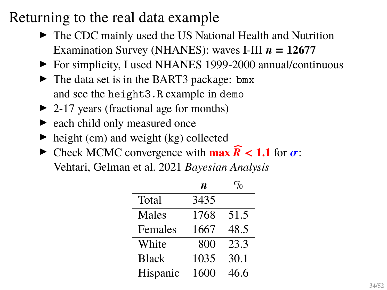#### Returning to the real data example

- $\triangleright$  The CDC mainly used the US National Health and Nutrition Examination Survey (NHANES): waves I-III  $n = 12677$
- ▶ For simplicity, I used NHANES 1999-2000 annual/continuous
- $\blacktriangleright$  The data set is in the BART3 package: bmx and see the height3.R example in demo
- $\triangleright$  2-17 years (fractional age for months)
- $\blacktriangleright$  each child only measured once
- $\blacktriangleright$  height (cm) and weight (kg) collected
- $\triangleright$  Check MCMC convergence with **max**  $\widehat{R}$  < **1.1** for  $\sigma$ : Vehtari, Gelman et al. 2021 *Bayesian Analysis*

|              | n.   |      |
|--------------|------|------|
| Total        | 3435 |      |
| Males        | 1768 | 51.5 |
| Females      | 1667 | 48.5 |
| White        | 800  | 23.3 |
| <b>Black</b> | 1035 | 30.1 |
| Hispanic     | 1600 | 46.6 |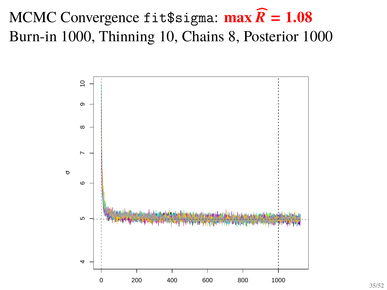# MCMC Convergence fit\$sigma:  $\max \widehat{R} = 1.08$ Burn-in 1000, Thinning 10, Chains 8, Posterior 1000

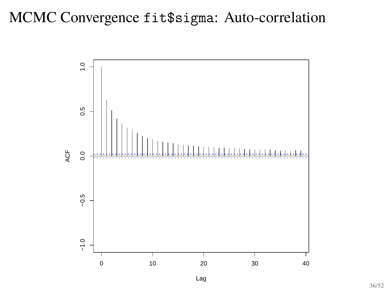#### MCMC Convergence fit\$sigma: Auto-correlation

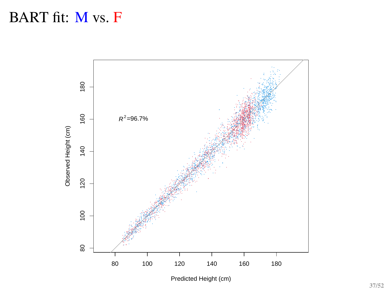#### BART fit: M vs. F



Predicted Height (cm)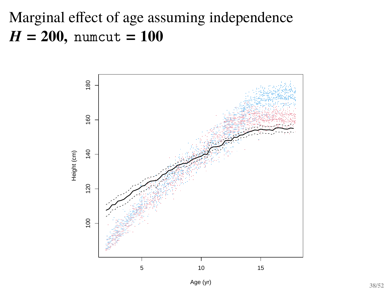# Marginal effect of age assuming independence  $H = 200$ , numcut =  $100$

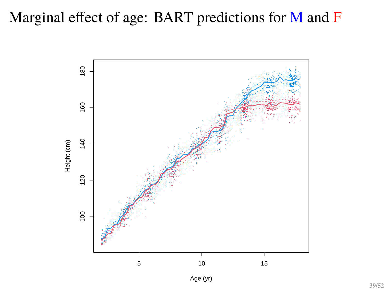#### Marginal effect of age: BART predictions for M and F

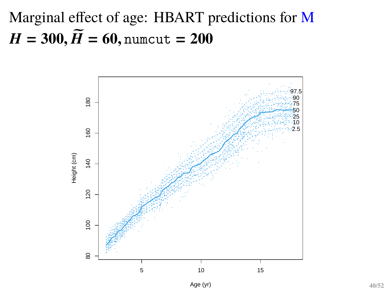Marginal effect of age: HBART predictions for M  $H = 300, \widetilde{H} = 60, \text{numcut} = 200$ 

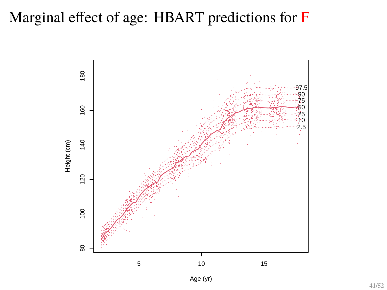#### Marginal effect of age: HBART predictions for F

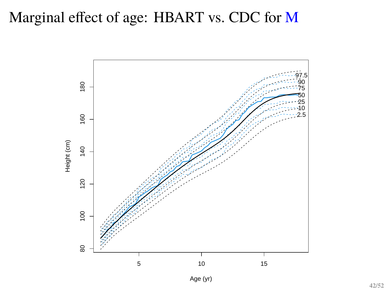#### Marginal effect of age: HBART vs. CDC for M

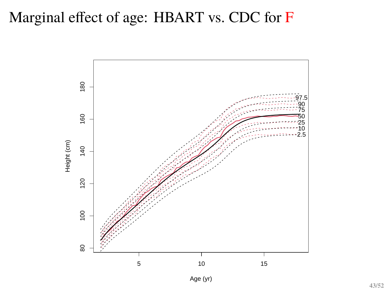#### Marginal effect of age: HBART vs. CDC for F

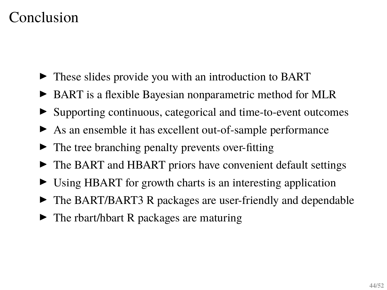#### Conclusion

- $\triangleright$  These slides provide you with an introduction to BART
- ► BART is a flexible Bayesian nonparametric method for MLR
- ▶ Supporting continuous, categorical and time-to-event outcomes
- $\triangleright$  As an ensemble it has excellent out-of-sample performance
- $\blacktriangleright$  The tree branching penalty prevents over-fitting
- $\triangleright$  The BART and HBART priors have convenient default settings
- $\triangleright$  Using HBART for growth charts is an interesting application
- $\triangleright$  The BART/BART3 R packages are user-friendly and dependable
- $\triangleright$  The rbart/hbart R packages are maturing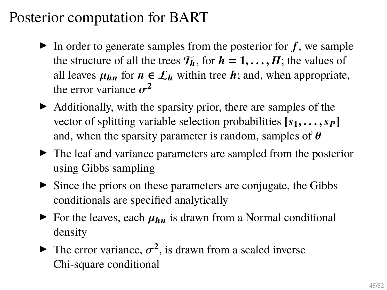- In order to generate samples from the posterior for  $f$ , we sample the structure of all the trees  $T_h$ , for  $h = 1, \ldots, H$ ; the values of all leaves  $\mu_{hn}$  for  $n \in \mathcal{L}_h$  within tree  $h$ ; and, when appropriate, the error variance  $\sigma^2$
- $\blacktriangleright$  Additionally, with the sparsity prior, there are samples of the vector of splitting variable selection probabilities  $[s_1, \ldots, s_P]$ and, when the sparsity parameter is random, samples of  $\theta$
- $\blacktriangleright$  The leaf and variance parameters are sampled from the posterior using Gibbs sampling
- $\triangleright$  Since the priors on these parameters are conjugate, the Gibbs conditionals are specified analytically
- $\triangleright$  For the leaves, each  $\mu_{hn}$  is drawn from a Normal conditional density
- The error variance,  $\sigma^2$ , is drawn from a scaled inverse Chi-square conditional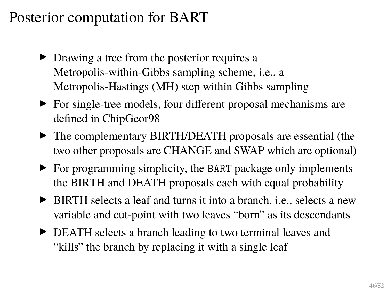- $\triangleright$  Drawing a tree from the posterior requires a Metropolis-within-Gibbs sampling scheme, i.e., a Metropolis-Hastings (MH) step within Gibbs sampling
- $\triangleright$  For single-tree models, four different proposal mechanisms are defined in ChipGeor98
- $\triangleright$  The complementary BIRTH/DEATH proposals are essential (the two other proposals are CHANGE and SWAP which are optional)
- $\triangleright$  For programming simplicity, the BART package only implements the BIRTH and DEATH proposals each with equal probability
- I BIRTH selects a leaf and turns it into a branch, i.e., selects a new variable and cut-point with two leaves "born" as its descendants
- $\triangleright$  DEATH selects a branch leading to two terminal leaves and "kills" the branch by replacing it with a single leaf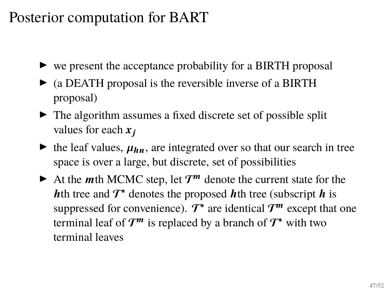- $\triangleright$  we present the acceptance probability for a BIRTH proposal
- $\triangleright$  (a DEATH proposal is the reversible inverse of a BIRTH proposal)
- $\triangleright$  The algorithm assumes a fixed discrete set of possible split values for each  $x_i$
- $\blacktriangleright$  the leaf values,  $\mu_{hn}$ , are integrated over so that our search in tree space is over a large, but discrete, set of possibilities
- At the *m*th MCMC step, let  $T^m$  denote the current state for the **h**th tree and  $T^*$  denotes the proposed **h**th tree (subscript **h** is suppressed for convenience).  $\mathcal{T}^*$  are identical  $\mathcal{T}^m$  except that one terminal leaf of  $\mathcal{T}^m$  is replaced by a branch of  $\mathcal{T}^*$  with two terminal leaves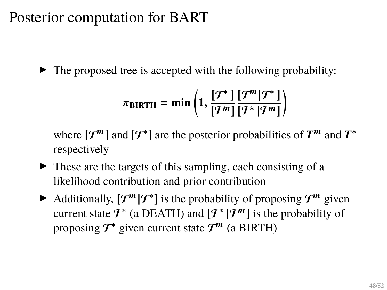$\blacktriangleright$  The proposed tree is accepted with the following probability:

$$
\pi_{\text{BIRTH}} = \min\left(1, \frac{[T^*]}{[T^m]} \frac{[T^m | T^*]}{[T^* | T^m]}\right)
$$

where  $[T^m]$  and  $[T^*]$  are the posterior probabilities of  $T^m$  and  $T^*$ respectively

- $\triangleright$  These are the targets of this sampling, each consisting of a likelihood contribution and prior contribution
- Additionally,  $[T^m | T^*]$  is the probability of proposing  $T^m$  given current state  $\mathcal{T}^*$  (a DEATH) and  $[\mathcal{T}^* | \mathcal{T}^m]$  is the probability of proposing  $\mathcal{T}^*$  given current state  $\mathcal{T}^m$  (a BIRTH)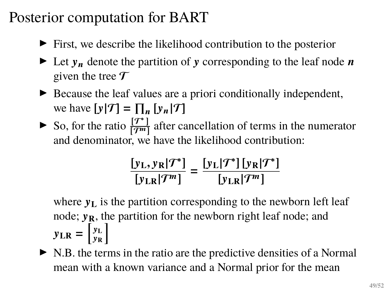- $\blacktriangleright$  First, we describe the likelihood contribution to the posterior
- $\blacktriangleright$  Let  $y_n$  denote the partition of y corresponding to the leaf node n given the tree  $\mathcal T$
- $\triangleright$  Because the leaf values are a priori conditionally independent, we have  $[y|\mathcal{T}] = \prod_n [y_n|\mathcal{T}]$
- So, for the ratio  $\frac{[T^*]}{[T^m]}$  $\frac{17}{(7^m)}$  after cancellation of terms in the numerator and denominator, we have the likelihood contribution:

$$
\frac{[y_L, y_R|\mathcal{T}^*]}{[y_{LR}|\mathcal{T}^m]} = \frac{[y_L|\mathcal{T}^*][y_R|\mathcal{T}^*]}{[y_{LR}|\mathcal{T}^m]}
$$

where  $y_L$  is the partition corresponding to the newborn left leaf node;  $v_R$ , the partition for the newborn right leaf node; and  $y_{LR} = \begin{bmatrix} y_L \\ y_R \end{bmatrix}$ 𝒚**R** i

 $\triangleright$  N.B. the terms in the ratio are the predictive densities of a Normal mean with a known variance and a Normal prior for the mean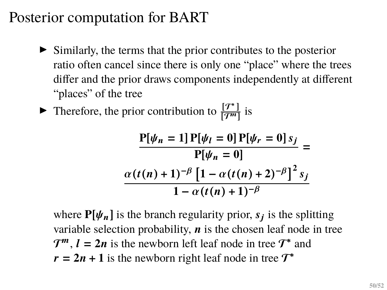$\triangleright$  Similarly, the terms that the prior contributes to the posterior ratio often cancel since there is only one "place" where the trees differ and the prior draws components independently at different "places" of the tree

• Therefore, the prior contribution to  $\frac{[T^*]}{[T^m]}$  $\frac{1}{2^{m}}$  is

$$
\frac{P[\psi_n = 1] P[\psi_l = 0] P[\psi_r = 0] s_j}{P[\psi_n = 0]} =
$$
  

$$
\frac{\alpha(t(n+1)^{-\beta} [1 - \alpha(t(n+2)^{-\beta}]^2 s_j)}{1 - \alpha(t(n+1)^{-\beta})}
$$

where  $P[\psi_n]$  is the branch regularity prior,  $s_j$  is the splitting variable selection probability,  $\boldsymbol{n}$  is the chosen leaf node in tree  $\mathcal{T}^m$ ,  $l = 2n$  is the newborn left leaf node in tree  $\mathcal{T}^*$  and  $r = 2n + 1$  is the newborn right leaf node in tree  $T^*$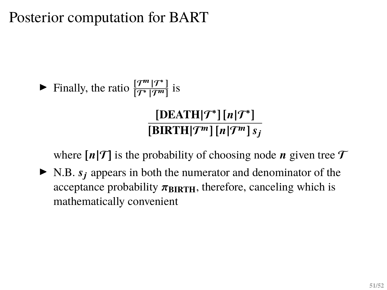#### Finally, the ratio  $\frac{[T^m | T^*]}{[T^* | T^m]}$  $\frac{17}{[T^{\ast}|T^{\prime\prime}|]}$  is  $[DEATH|\mathcal{T}^*][n|\mathcal{T}^*]$  $\sqrt{\text{BIRTH}|\mathcal{T}^m|\left[n|\mathcal{T}^m\right]s_i}$

where  $[n|\mathcal{T}]$  is the probability of choosing node *n* given tree  $\mathcal T$ 

 $\blacktriangleright$  N.B.  $s_i$  appears in both the numerator and denominator of the acceptance probability  $\pi_{\text{BIRTH}}$ , therefore, canceling which is mathematically convenient